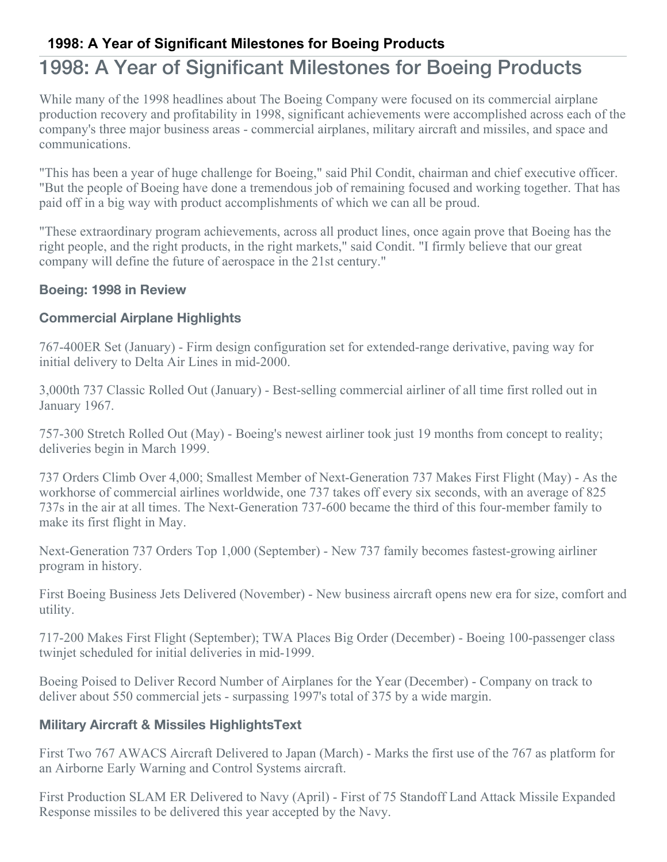## **1998: A Year of Significant Milestones for Boeing Products**

# 1998: A Year of Significant Milestones for Boeing Products

While many of the 1998 headlines about The Boeing Company were focused on its commercial airplane production recovery and profitability in 1998, significant achievements were accomplished across each of the company's three major business areas - commercial airplanes, military aircraft and missiles, and space and communications.

"This has been a year of huge challenge for Boeing," said Phil Condit, chairman and chief executive officer. "But the people of Boeing have done a tremendous job of remaining focused and working together. That has paid off in a big way with product accomplishments of which we can all be proud.

"These extraordinary program achievements, across all product lines, once again prove that Boeing has the right people, and the right products, in the right markets," said Condit. "I firmly believe that our great company will define the future of aerospace in the 21st century."

#### **Boeing: 1998 in Review**

#### **Commercial Airplane Highlights**

767-400ER Set (January) - Firm design configuration set for extended-range derivative, paving way for initial delivery to Delta Air Lines in mid-2000.

3,000th 737 Classic Rolled Out (January) - Best-selling commercial airliner of all time first rolled out in January 1967.

757-300 Stretch Rolled Out (May) - Boeing's newest airliner took just 19 months from concept to reality; deliveries begin in March 1999.

737 Orders Climb Over 4,000; Smallest Member of Next-Generation 737 Makes First Flight (May) - As the workhorse of commercial airlines worldwide, one 737 takes off every six seconds, with an average of 825 737s in the air at all times. The Next-Generation 737-600 became the third of this four-member family to make its first flight in May.

Next-Generation 737 Orders Top 1,000 (September) - New 737 family becomes fastest-growing airliner program in history.

First Boeing Business Jets Delivered (November) - New business aircraft opens new era for size, comfort and utility.

717-200 Makes First Flight (September); TWA Places Big Order (December) - Boeing 100-passenger class twinjet scheduled for initial deliveries in mid-1999.

Boeing Poised to Deliver Record Number of Airplanes for the Year (December) - Company on track to deliver about 550 commercial jets - surpassing 1997's total of 375 by a wide margin.

#### **Military Aircraft & Missiles HighlightsText**

First Two 767 AWACS Aircraft Delivered to Japan (March) - Marks the first use of the 767 as platform for an Airborne Early Warning and Control Systems aircraft.

First Production SLAM ER Delivered to Navy (April) - First of 75 Standoff Land Attack Missile Expanded Response missiles to be delivered this year accepted by the Navy.